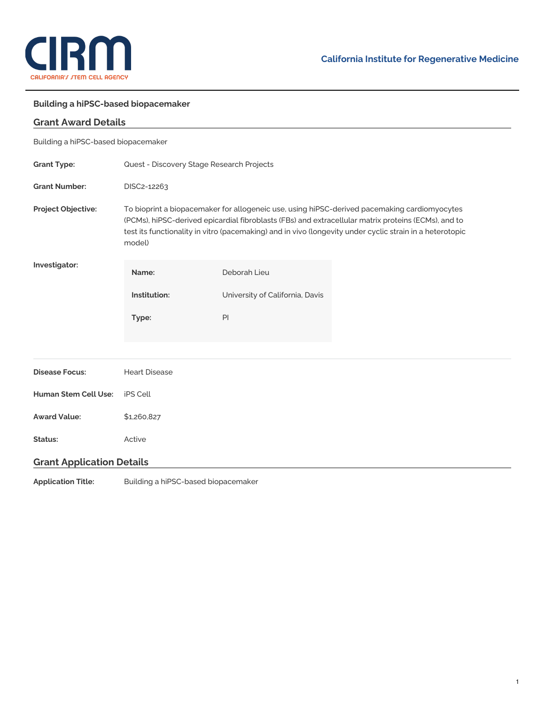

## **Building a hiPSC-based biopacemaker**

# **Grant Award Details**

## Building a hiPSC-based biopacemaker

| <b>Grant Type:</b>               | Quest - Discovery Stage Research Projects                                                                                                                                                                                                                                                                                 |                                 |  |
|----------------------------------|---------------------------------------------------------------------------------------------------------------------------------------------------------------------------------------------------------------------------------------------------------------------------------------------------------------------------|---------------------------------|--|
| <b>Grant Number:</b>             | DISC2-12263                                                                                                                                                                                                                                                                                                               |                                 |  |
| Project Objective:               | To bioprint a biopacemaker for allogeneic use, using hiPSC-derived pacemaking cardiomyocytes<br>(PCMs), hiPSC-derived epicardial fibroblasts (FBs) and extracellular matrix proteins (ECMs), and to<br>test its functionality in vitro (pacemaking) and in vivo (longevity under cyclic strain in a heterotopic<br>model) |                                 |  |
| Investigator:                    | Name:                                                                                                                                                                                                                                                                                                                     | Deborah Lieu                    |  |
|                                  | Institution:                                                                                                                                                                                                                                                                                                              | University of California, Davis |  |
|                                  | Type:                                                                                                                                                                                                                                                                                                                     | PI                              |  |
|                                  |                                                                                                                                                                                                                                                                                                                           |                                 |  |
| <b>Disease Focus:</b>            | <b>Heart Disease</b>                                                                                                                                                                                                                                                                                                      |                                 |  |
| <b>Human Stem Cell Use:</b>      | iPS Cell                                                                                                                                                                                                                                                                                                                  |                                 |  |
| <b>Award Value:</b>              | \$1,260,827                                                                                                                                                                                                                                                                                                               |                                 |  |
| Status:                          | Active                                                                                                                                                                                                                                                                                                                    |                                 |  |
| <b>Grant Application Details</b> |                                                                                                                                                                                                                                                                                                                           |                                 |  |

**Application Title:** Building a hiPSC-based biopacemaker